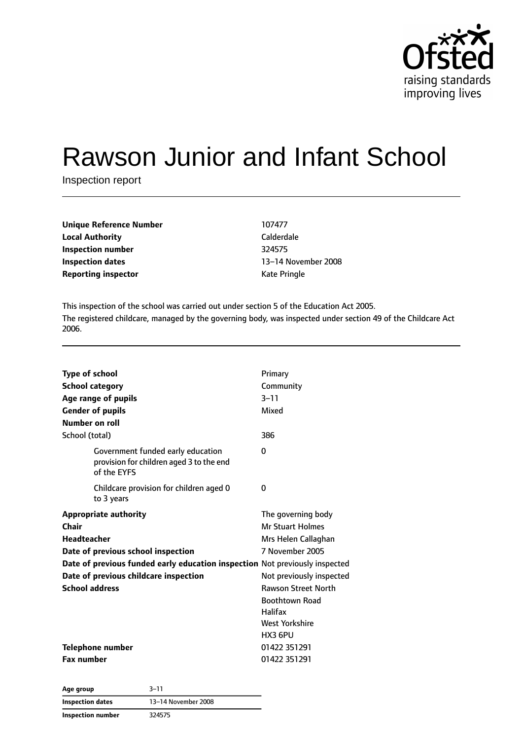

# Rawson Junior and Infant School

Inspection report

| Unique Reference Number    | 107477       |
|----------------------------|--------------|
| <b>Local Authority</b>     | Calderdale   |
| Inspection number          | 324575       |
| <b>Inspection dates</b>    | 13-14 Nover  |
| <b>Reporting inspector</b> | Kate Pringle |

**Local Authority** Calderdale **Inspection dates** 13–14 November 2008

This inspection of the school was carried out under section 5 of the Education Act 2005. The registered childcare, managed by the governing body, was inspected under section 49 of the Childcare Act 2006.

| <b>Type of school</b>                                                                        | Primary                    |
|----------------------------------------------------------------------------------------------|----------------------------|
| <b>School category</b>                                                                       | Community                  |
| Age range of pupils                                                                          | $3 - 11$                   |
| <b>Gender of pupils</b>                                                                      | Mixed                      |
| Number on roll                                                                               |                            |
| School (total)                                                                               | 386                        |
| Government funded early education<br>provision for children aged 3 to the end<br>of the EYFS | 0                          |
| Childcare provision for children aged 0<br>to 3 years                                        | 0                          |
| <b>Appropriate authority</b>                                                                 | The governing body         |
| Chair                                                                                        | <b>Mr Stuart Holmes</b>    |
| <b>Headteacher</b>                                                                           | Mrs Helen Callaghan        |
| Date of previous school inspection                                                           | 7 November 2005            |
| Date of previous funded early education inspection Not previously inspected                  |                            |
| Date of previous childcare inspection                                                        | Not previously inspected   |
| <b>School address</b>                                                                        | <b>Rawson Street North</b> |
|                                                                                              | <b>Boothtown Road</b>      |
|                                                                                              | <b>Halifax</b>             |
|                                                                                              | <b>West Yorkshire</b>      |
|                                                                                              | HX3 6PU                    |
| Telephone number                                                                             | 01422 351291               |
| <b>Fax number</b>                                                                            | 01422 351291               |

**Age group** 3–11 **Inspection dates** 13–14 November 2008 **Inspection number** 324575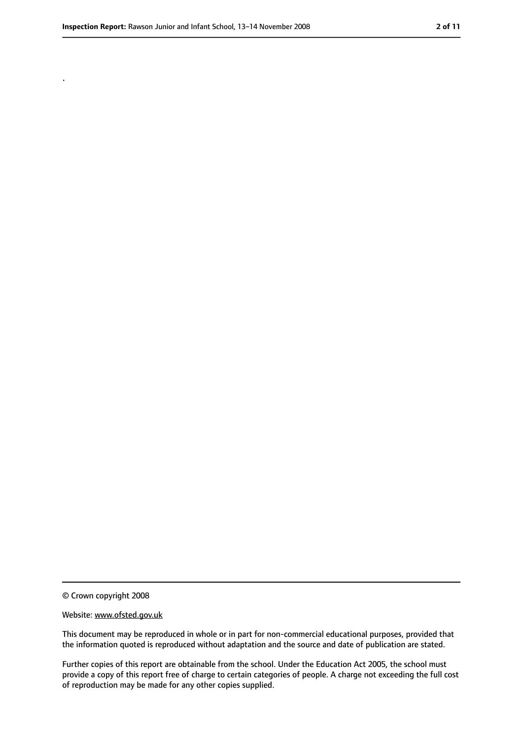.

<sup>©</sup> Crown copyright 2008

Website: www.ofsted.gov.uk

This document may be reproduced in whole or in part for non-commercial educational purposes, provided that the information quoted is reproduced without adaptation and the source and date of publication are stated.

Further copies of this report are obtainable from the school. Under the Education Act 2005, the school must provide a copy of this report free of charge to certain categories of people. A charge not exceeding the full cost of reproduction may be made for any other copies supplied.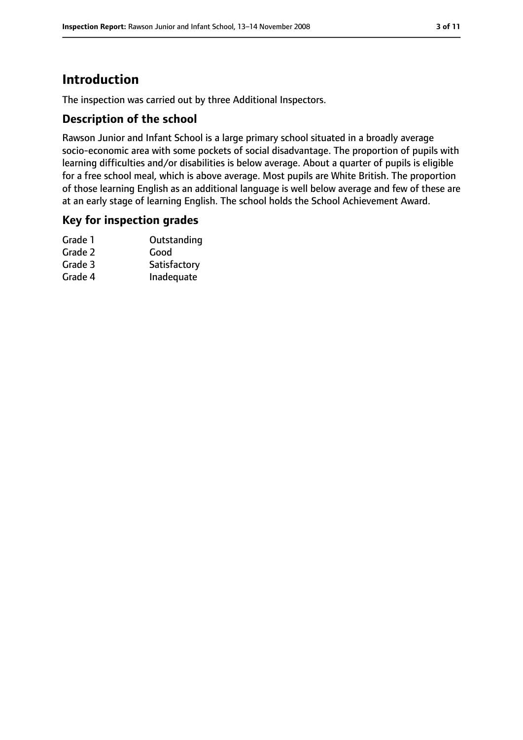# **Introduction**

The inspection was carried out by three Additional Inspectors.

## **Description of the school**

Rawson Junior and Infant School is a large primary school situated in a broadly average socio-economic area with some pockets of social disadvantage. The proportion of pupils with learning difficulties and/or disabilities is below average. About a quarter of pupils is eligible for a free school meal, which is above average. Most pupils are White British. The proportion of those learning English as an additional language is well below average and few of these are at an early stage of learning English. The school holds the School Achievement Award.

## **Key for inspection grades**

| Grade 1 | Outstanding  |
|---------|--------------|
| Grade 2 | Good         |
| Grade 3 | Satisfactory |
| Grade 4 | Inadequate   |
|         |              |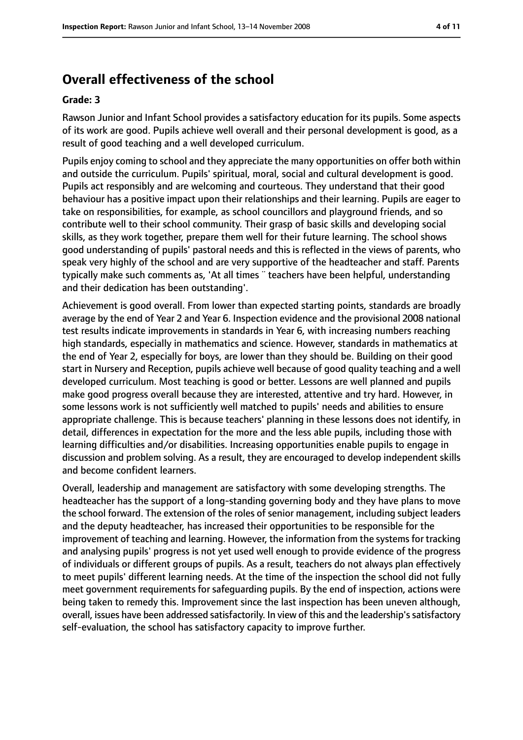# **Overall effectiveness of the school**

#### **Grade: 3**

Rawson Junior and Infant School provides a satisfactory education for its pupils. Some aspects of its work are good. Pupils achieve well overall and their personal development is good, as a result of good teaching and a well developed curriculum.

Pupils enjoy coming to school and they appreciate the many opportunities on offer both within and outside the curriculum. Pupils' spiritual, moral, social and cultural development is good. Pupils act responsibly and are welcoming and courteous. They understand that their good behaviour has a positive impact upon their relationships and their learning. Pupils are eager to take on responsibilities, for example, as school councillors and playground friends, and so contribute well to their school community. Their grasp of basic skills and developing social skills, as they work together, prepare them well for their future learning. The school shows good understanding of pupils' pastoral needs and this is reflected in the views of parents, who speak very highly of the school and are very supportive of the headteacher and staff. Parents typically make such comments as, 'At all times ¨ teachers have been helpful, understanding and their dedication has been outstanding'.

Achievement is good overall. From lower than expected starting points, standards are broadly average by the end of Year 2 and Year 6. Inspection evidence and the provisional 2008 national test results indicate improvements in standards in Year 6, with increasing numbers reaching high standards, especially in mathematics and science. However, standards in mathematics at the end of Year 2, especially for boys, are lower than they should be. Building on their good start in Nursery and Reception, pupils achieve well because of good quality teaching and a well developed curriculum. Most teaching is good or better. Lessons are well planned and pupils make good progress overall because they are interested, attentive and try hard. However, in some lessons work is not sufficiently well matched to pupils' needs and abilities to ensure appropriate challenge. This is because teachers' planning in these lessons does not identify, in detail, differences in expectation for the more and the less able pupils, including those with learning difficulties and/or disabilities. Increasing opportunities enable pupils to engage in discussion and problem solving. As a result, they are encouraged to develop independent skills and become confident learners.

Overall, leadership and management are satisfactory with some developing strengths. The headteacher has the support of a long-standing governing body and they have plans to move the school forward. The extension of the roles of senior management, including subject leaders and the deputy headteacher, has increased their opportunities to be responsible for the improvement of teaching and learning. However, the information from the systems for tracking and analysing pupils' progress is not yet used well enough to provide evidence of the progress of individuals or different groups of pupils. As a result, teachers do not always plan effectively to meet pupils' different learning needs. At the time of the inspection the school did not fully meet government requirements for safeguarding pupils. By the end of inspection, actions were being taken to remedy this. Improvement since the last inspection has been uneven although, overall, issues have been addressed satisfactorily. In view of this and the leadership's satisfactory self-evaluation, the school has satisfactory capacity to improve further.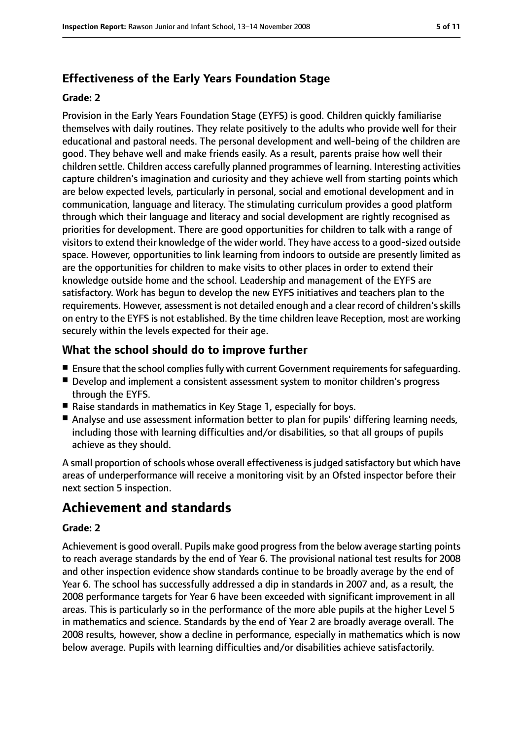# **Effectiveness of the Early Years Foundation Stage**

#### **Grade: 2**

Provision in the Early Years Foundation Stage (EYFS) is good. Children quickly familiarise themselves with daily routines. They relate positively to the adults who provide well for their educational and pastoral needs. The personal development and well-being of the children are good. They behave well and make friends easily. As a result, parents praise how well their children settle. Children access carefully planned programmes of learning. Interesting activities capture children's imagination and curiosity and they achieve well from starting points which are below expected levels, particularly in personal, social and emotional development and in communication, language and literacy. The stimulating curriculum provides a good platform through which their language and literacy and social development are rightly recognised as priorities for development. There are good opportunities for children to talk with a range of visitors to extend their knowledge of the wider world. They have access to a good-sized outside space. However, opportunities to link learning from indoors to outside are presently limited as are the opportunities for children to make visits to other places in order to extend their knowledge outside home and the school. Leadership and management of the EYFS are satisfactory. Work has begun to develop the new EYFS initiatives and teachers plan to the requirements. However, assessment is not detailed enough and a clear record of children'sskills on entry to the EYFS is not established. By the time children leave Reception, most are working securely within the levels expected for their age.

# **What the school should do to improve further**

- Ensure that the school complies fully with current Government requirements for safequarding.
- Develop and implement a consistent assessment system to monitor children's progress through the EYFS.
- Raise standards in mathematics in Key Stage 1, especially for boys.
- Analyse and use assessment information better to plan for pupils' differing learning needs, including those with learning difficulties and/or disabilities, so that all groups of pupils achieve as they should.

A small proportion of schools whose overall effectiveness is judged satisfactory but which have areas of underperformance will receive a monitoring visit by an Ofsted inspector before their next section 5 inspection.

# **Achievement and standards**

#### **Grade: 2**

Achievement is good overall. Pupils make good progress from the below average starting points to reach average standards by the end of Year 6. The provisional national test results for 2008 and other inspection evidence show standards continue to be broadly average by the end of Year 6. The school has successfully addressed a dip in standards in 2007 and, as a result, the 2008 performance targets for Year 6 have been exceeded with significant improvement in all areas. This is particularly so in the performance of the more able pupils at the higher Level 5 in mathematics and science. Standards by the end of Year 2 are broadly average overall. The 2008 results, however, show a decline in performance, especially in mathematics which is now below average. Pupils with learning difficulties and/or disabilities achieve satisfactorily.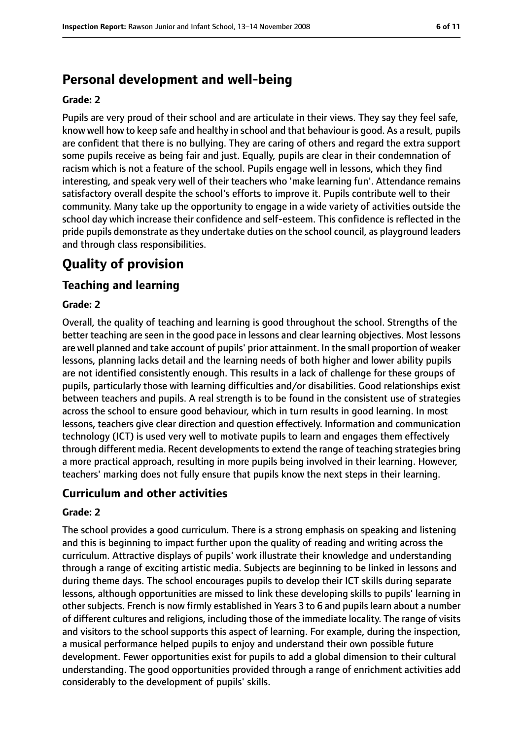# **Personal development and well-being**

#### **Grade: 2**

Pupils are very proud of their school and are articulate in their views. They say they feel safe, know well how to keep safe and healthy in school and that behaviour is good. As a result, pupils are confident that there is no bullying. They are caring of others and regard the extra support some pupils receive as being fair and just. Equally, pupils are clear in their condemnation of racism which is not a feature of the school. Pupils engage well in lessons, which they find interesting, and speak very well of their teachers who 'make learning fun'. Attendance remains satisfactory overall despite the school's efforts to improve it. Pupils contribute well to their community. Many take up the opportunity to engage in a wide variety of activities outside the school day which increase their confidence and self-esteem. This confidence is reflected in the pride pupils demonstrate as they undertake duties on the school council, as playground leaders and through class responsibilities.

# **Quality of provision**

# **Teaching and learning**

#### **Grade: 2**

Overall, the quality of teaching and learning is good throughout the school. Strengths of the better teaching are seen in the good pace in lessons and clear learning objectives. Most lessons are well planned and take account of pupils' prior attainment. In the small proportion of weaker lessons, planning lacks detail and the learning needs of both higher and lower ability pupils are not identified consistently enough. This results in a lack of challenge for these groups of pupils, particularly those with learning difficulties and/or disabilities. Good relationships exist between teachers and pupils. A real strength is to be found in the consistent use of strategies across the school to ensure good behaviour, which in turn results in good learning. In most lessons, teachers give clear direction and question effectively. Information and communication technology (ICT) is used very well to motivate pupils to learn and engages them effectively through different media. Recent developments to extend the range of teaching strategies bring a more practical approach, resulting in more pupils being involved in their learning. However, teachers' marking does not fully ensure that pupils know the next steps in their learning.

## **Curriculum and other activities**

#### **Grade: 2**

The school provides a good curriculum. There is a strong emphasis on speaking and listening and this is beginning to impact further upon the quality of reading and writing across the curriculum. Attractive displays of pupils' work illustrate their knowledge and understanding through a range of exciting artistic media. Subjects are beginning to be linked in lessons and during theme days. The school encourages pupils to develop their ICT skills during separate lessons, although opportunities are missed to link these developing skills to pupils' learning in other subjects. French is now firmly established in Years 3 to 6 and pupils learn about a number of different cultures and religions, including those of the immediate locality. The range of visits and visitors to the school supports this aspect of learning. For example, during the inspection, a musical performance helped pupils to enjoy and understand their own possible future development. Fewer opportunities exist for pupils to add a global dimension to their cultural understanding. The good opportunities provided through a range of enrichment activities add considerably to the development of pupils' skills.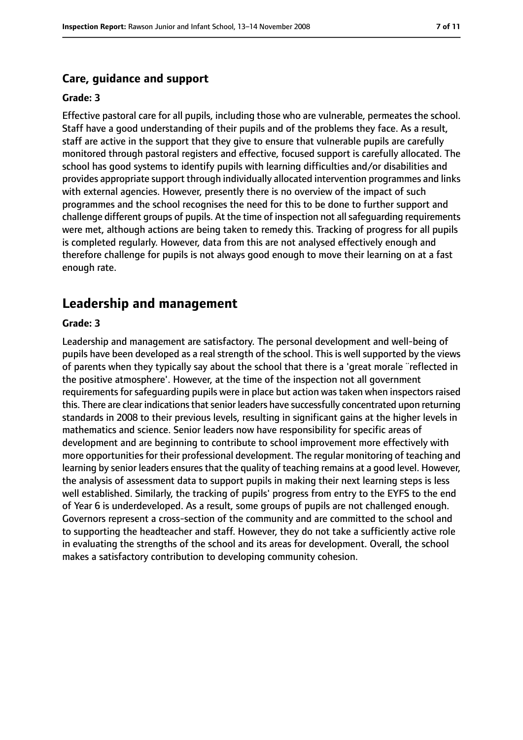#### **Care, guidance and support**

#### **Grade: 3**

Effective pastoral care for all pupils, including those who are vulnerable, permeates the school. Staff have a good understanding of their pupils and of the problems they face. As a result, staff are active in the support that they give to ensure that vulnerable pupils are carefully monitored through pastoral registers and effective, focused support is carefully allocated. The school has good systems to identify pupils with learning difficulties and/or disabilities and provides appropriate support through individually allocated intervention programmes and links with external agencies. However, presently there is no overview of the impact of such programmes and the school recognises the need for this to be done to further support and challenge different groups of pupils. At the time of inspection not all safeguarding requirements were met, although actions are being taken to remedy this. Tracking of progress for all pupils is completed regularly. However, data from this are not analysed effectively enough and therefore challenge for pupils is not always good enough to move their learning on at a fast enough rate.

## **Leadership and management**

#### **Grade: 3**

Leadership and management are satisfactory. The personal development and well-being of pupils have been developed as a real strength of the school. This is well supported by the views of parents when they typically say about the school that there is a 'great morale ¨reflected in the positive atmosphere'. However, at the time of the inspection not all government requirements for safeguarding pupils were in place but action was taken when inspectors raised this. There are clear indications that senior leaders have successfully concentrated upon returning standards in 2008 to their previous levels, resulting in significant gains at the higher levels in mathematics and science. Senior leaders now have responsibility for specific areas of development and are beginning to contribute to school improvement more effectively with more opportunities for their professional development. The regular monitoring of teaching and learning by senior leaders ensures that the quality of teaching remains at a good level. However, the analysis of assessment data to support pupils in making their next learning steps is less well established. Similarly, the tracking of pupils' progress from entry to the EYFS to the end of Year 6 is underdeveloped. As a result, some groups of pupils are not challenged enough. Governors represent a cross-section of the community and are committed to the school and to supporting the headteacher and staff. However, they do not take a sufficiently active role in evaluating the strengths of the school and its areas for development. Overall, the school makes a satisfactory contribution to developing community cohesion.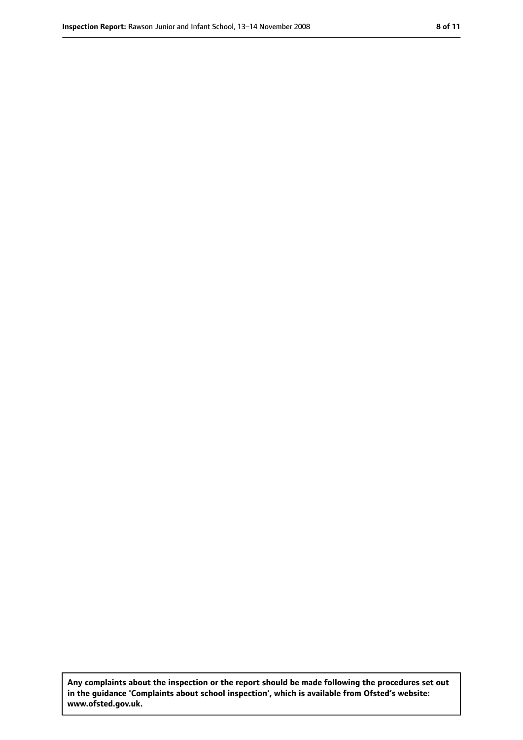**Any complaints about the inspection or the report should be made following the procedures set out in the guidance 'Complaints about school inspection', which is available from Ofsted's website: www.ofsted.gov.uk.**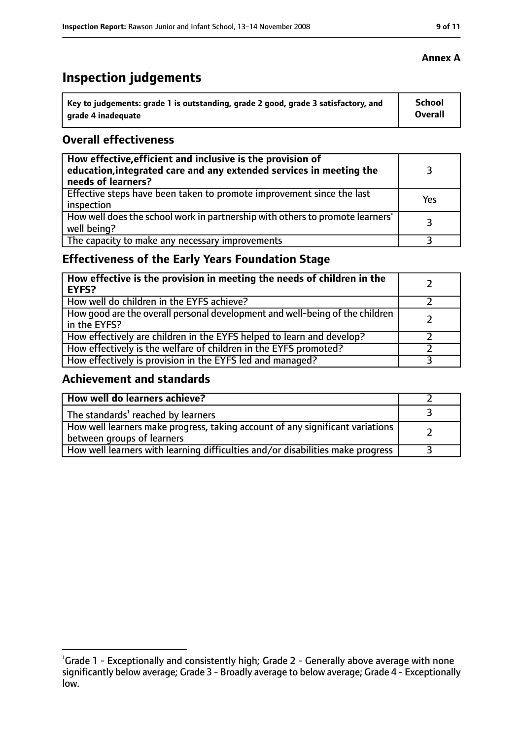# **Inspection judgements**

| Key to judgements: grade 1 is outstanding, grade 2 good, grade 3 satisfactory, and | School         |
|------------------------------------------------------------------------------------|----------------|
| grade 4 inadequate                                                                 | <b>Overall</b> |

## **Overall effectiveness**

| How effective, efficient and inclusive is the provision of<br>education, integrated care and any extended services in meeting the<br>needs of learners? |     |
|---------------------------------------------------------------------------------------------------------------------------------------------------------|-----|
| Effective steps have been taken to promote improvement since the last<br>inspection                                                                     | Yes |
| How well does the school work in partnership with others to promote learners'<br>well being?                                                            | २   |
| The capacity to make any necessary improvements                                                                                                         |     |

# **Effectiveness of the Early Years Foundation Stage**

| How effective is the provision in meeting the needs of children in the<br>EYFS?              |  |
|----------------------------------------------------------------------------------------------|--|
| How well do children in the EYFS achieve?                                                    |  |
| How good are the overall personal development and well-being of the children<br>in the EYFS? |  |
| How effectively are children in the EYFS helped to learn and develop?                        |  |
| How effectively is the welfare of children in the EYFS promoted?                             |  |
| How effectively is provision in the EYFS led and managed?                                    |  |

# **Achievement and standards**

| How well do learners achieve?                                                                               |  |
|-------------------------------------------------------------------------------------------------------------|--|
| The standards <sup>1</sup> reached by learners                                                              |  |
| How well learners make progress, taking account of any significant variations<br>between groups of learners |  |
| How well learners with learning difficulties and/or disabilities make progress                              |  |

<sup>&</sup>lt;sup>1</sup>Grade 1 - Exceptionally and consistently high; Grade 2 - Generally above average with none significantly below average; Grade 3 - Broadly average to below average; Grade 4 - Exceptionally low.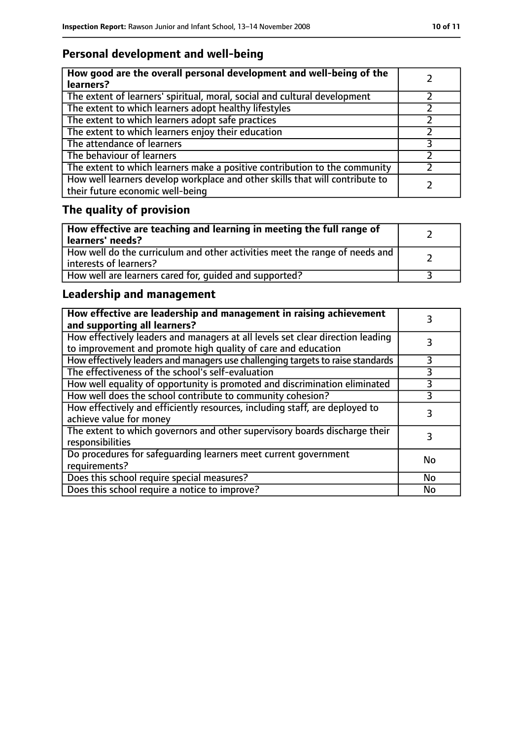# **Personal development and well-being**

| How good are the overall personal development and well-being of the<br>learners?                                 |  |
|------------------------------------------------------------------------------------------------------------------|--|
| The extent of learners' spiritual, moral, social and cultural development                                        |  |
| The extent to which learners adopt healthy lifestyles                                                            |  |
| The extent to which learners adopt safe practices                                                                |  |
| The extent to which learners enjoy their education                                                               |  |
| The attendance of learners                                                                                       |  |
| The behaviour of learners                                                                                        |  |
| The extent to which learners make a positive contribution to the community                                       |  |
| How well learners develop workplace and other skills that will contribute to<br>their future economic well-being |  |

# **The quality of provision**

| How effective are teaching and learning in meeting the full range of<br>learners' needs?                |  |
|---------------------------------------------------------------------------------------------------------|--|
| How well do the curriculum and other activities meet the range of needs and<br>  interests of learners? |  |
| How well are learners cared for, quided and supported?                                                  |  |

# **Leadership and management**

| How effective are leadership and management in raising achievement<br>and supporting all learners?                                              |    |
|-------------------------------------------------------------------------------------------------------------------------------------------------|----|
| How effectively leaders and managers at all levels set clear direction leading<br>to improvement and promote high quality of care and education |    |
| How effectively leaders and managers use challenging targets to raise standards                                                                 |    |
| The effectiveness of the school's self-evaluation                                                                                               | 3  |
| How well equality of opportunity is promoted and discrimination eliminated                                                                      | 3  |
| How well does the school contribute to community cohesion?                                                                                      | 3  |
| How effectively and efficiently resources, including staff, are deployed to<br>achieve value for money                                          | 3  |
| The extent to which governors and other supervisory boards discharge their<br>responsibilities                                                  |    |
| Do procedures for safequarding learners meet current government<br>requirements?                                                                | No |
| Does this school require special measures?                                                                                                      | No |
| Does this school require a notice to improve?                                                                                                   | No |